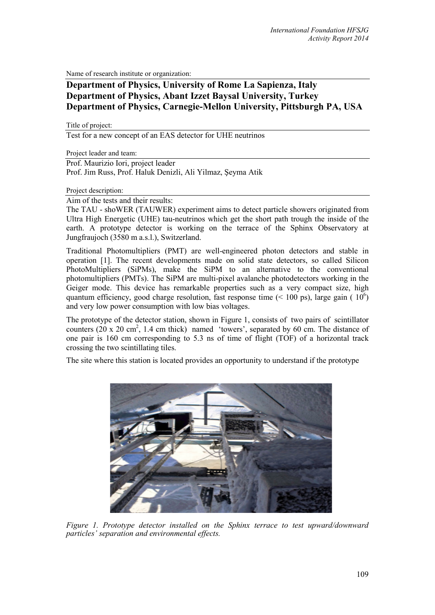Name of research institute or organization:

## **Department of Physics, University of Rome La Sapienza, Italy Department of Physics, Abant Izzet Baysal University, Turkey Department of Physics, Carnegie-Mellon University, Pittsburgh PA, USA**

Title of project:

Test for a new concept of an EAS detector for UHE neutrinos

Project leader and team:

Prof. Maurizio Iori, project leader Prof. Jim Russ, Prof. Haluk Denizli, Ali Yilmaz, Şeyma Atik

Project description:

Aim of the tests and their results:

The TAU - shoWER (TAUWER) experiment aims to detect particle showers originated from Ultra High Energetic (UHE) tau-neutrinos which get the short path trough the inside of the earth. A prototype detector is working on the terrace of the Sphinx Observatory at Jungfraujoch (3580 m a.s.l.), Switzerland.

Traditional Photomultipliers (PMT) are well-engineered photon detectors and stable in operation [1]. The recent developments made on solid state detectors, so called Silicon PhotoMultipliers (SiPMs), make the SiPM to an alternative to the conventional photomultipliers (PMTs). The SiPM are multi-pixel avalanche photodetectors working in the Geiger mode. This device has remarkable properties such as a very compact size, high quantum efficiency, good charge resolution, fast response time  $($  < 100 ps), large gain ( $10<sup>6</sup>$ ) and very low power consumption with low bias voltages.

The prototype of the detector station, shown in Figure 1, consists of two pairs of scintillator counters  $(20 \times 20 \text{ cm}^2, 1.4 \text{ cm thick})$  named 'towers', separated by 60 cm. The distance of one pair is 160 cm corresponding to 5.3 ns of time of flight (TOF) of a horizontal track crossing the two scintillating tiles.

The site where this station is located provides an opportunity to understand if the prototype



*Figure 1. Prototype detector installed on the Sphinx terrace to test upward/downward particles' separation and environmental effects.*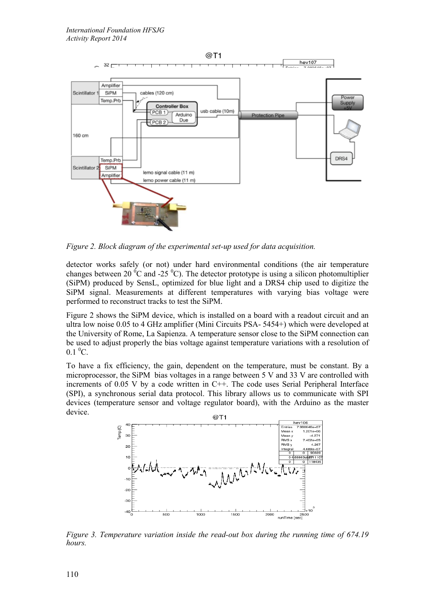

*Figure 2. Block diagram of the experimental set-up used for data acquisition.*

detector works safely (or not) under hard environmental conditions (the air temperature changes between 20  $\mathrm{^0C}$  and -25  $\mathrm{^0C}$ ). The detector prototype is using a silicon photomultiplier (SiPM) produced by SensL, optimized for blue light and a DRS4 chip used to digitize the SiPM signal. Measurements at different temperatures with varying bias voltage were performed to reconstruct tracks to test the SiPM.

Figure 2 shows the SiPM device, which is installed on a board with a readout circuit and an ultra low noise 0.05 to 4 GHz amplifier (Mini Circuits PSA- 5454+) which were developed at the University of Rome, La Sapienza. A temperature sensor close to the SiPM connection can be used to adjust properly the bias voltage against temperature variations with a resolution of  $0.1\text{ }^0C.$ 

To have a fix efficiency, the gain, dependent on the temperature, must be constant. By a microprocessor, the SiPM bias voltages in a range between 5 V and 33 V are controlled with increments of 0.05 V by a code written in C++. The code uses Serial Peripheral Interface (SPI), a synchronous serial data protocol. This library allows us to communicate with SPI devices (temperature sensor and voltage regulator board), with the Arduino as the master device.



*Figure 3. Temperature variation inside the read-out box during the running time of 674.19 hours.*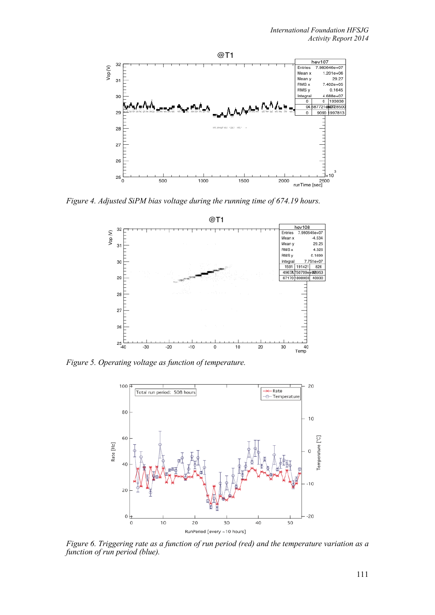

*Figure 4. Adjusted SiPM bias voltage during the running time of 674.19 hours.* 



*Figure 5. Operating voltage as function of temperature.*



*Figure 6. Triggering rate as a function of run period (red) and the temperature variation as a function of run period (blue).*